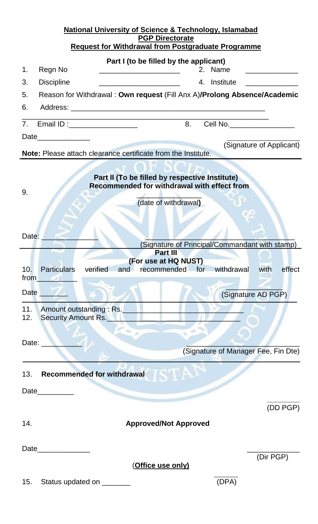| <b>National University of Science &amp; Technology, Islamabad</b>                                                   |
|---------------------------------------------------------------------------------------------------------------------|
| <b>PGP Directorate</b><br><b>Request for Withdrawal from Postgraduate Programme</b>                                 |
| Part I (to be filled by the applicant)                                                                              |
| Regn No<br>2. Name<br>1.                                                                                            |
| <b>Discipline</b><br>4. Institute<br>3.<br><u> 1980 - Jan Barbara Barbara, manazarta da k</u>                       |
| Reason for Withdrawal: Own request (Fill Anx A)/Prolong Absence/Academic<br>5.                                      |
| 6.                                                                                                                  |
| 8.<br>Email ID : ___________________<br>Cell No.<br>7 <sub>1</sub>                                                  |
|                                                                                                                     |
| (Signature of Applicant)                                                                                            |
| Note: Please attach clearance certificate from the Institute.                                                       |
| Part II (To be filled by respective Institute)                                                                      |
| Recommended for withdrawal with effect from                                                                         |
| 9.<br>(date of withdrawal)                                                                                          |
|                                                                                                                     |
|                                                                                                                     |
| Date:                                                                                                               |
| (Signature of Principal/Commandant with stamp)<br><b>Part III</b>                                                   |
| (For use at HQ NUST)                                                                                                |
| <b>Particulars</b><br>verified<br>withdrawal<br>10 <sub>1</sub><br>and<br>recommended for<br>with<br>effect<br>from |
| Date                                                                                                                |
| (Signature AD PGP)                                                                                                  |
| 11.<br>Amount outstanding : Rs.<br><b>Security Amount Rs.</b><br>12.                                                |
|                                                                                                                     |
| Date: $\overline{\phantom{a}}$                                                                                      |
| (Signature of Manager Fee, Fin Dte)                                                                                 |
|                                                                                                                     |
| <b>IAT</b><br><b>Recommended for withdrawal</b><br>13.                                                              |
| Date__________                                                                                                      |
| (DD PGP)                                                                                                            |
| 14.<br><b>Approved/Not Approved</b>                                                                                 |
|                                                                                                                     |
| Date                                                                                                                |
| (Dir PGP)                                                                                                           |
| <u>(Office use only)</u>                                                                                            |
| (DPA)<br>15.<br>Status updated on ________                                                                          |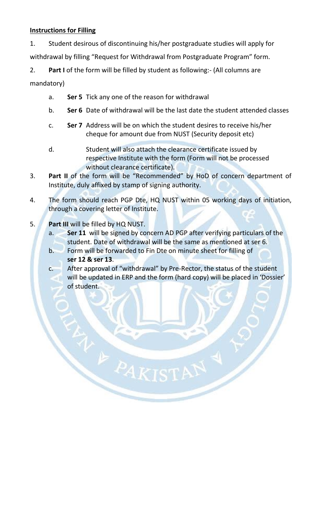## **Instructions for Filling**

1. Student desirous of discontinuing his/her postgraduate studies will apply for withdrawal by filling "Request for Withdrawal from Postgraduate Program" form.

2. **Part I** of the form will be filled by student as following:- (All columns are mandatory)

- a. **Ser 5** Tick any one of the reason for withdrawal
- b. **Ser 6** Date of withdrawal will be the last date the student attended classes
- c. **Ser 7** Address will be on which the student desires to receive his/her cheque for amount due from NUST (Security deposit etc)
- d. Student will also attach the clearance certificate issued by respective Institute with the form (Form will not be processed without clearance certificate).
- 3. **Part II** of the form will be "Recommended" by HoD of concern department of Institute, duly affixed by stamp of signing authority.
- 4. The form should reach PGP Dte, HQ NUST within 05 working days of initiation, through a covering letter of Institute.
- 5. **Part III** will be filled by HQ NUST.
	- a. **Ser 11** will be signed by concern AD PGP after verifying particulars of the student. Date of withdrawal will be the same as mentioned at ser 6.
	- b. Form will be forwarded to Fin Dte on minute sheet for filling of **ser 12 & ser 13**.

E PAKIST

c. After approval of "withdrawal" by Pre-Rector, the status of the student will be updated in ERP and the form (hard copy) will be placed in 'Dossier' of student.